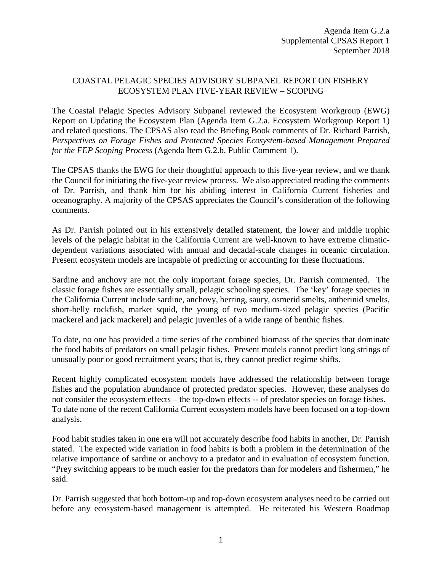## COASTAL PELAGIC SPECIES ADVISORY SUBPANEL REPORT ON FISHERY ECOSYSTEM PLAN FIVE‐YEAR REVIEW – SCOPING

The Coastal Pelagic Species Advisory Subpanel reviewed the Ecosystem Workgroup (EWG) Report on Updating the Ecosystem Plan (Agenda Item G.2.a. Ecosystem Workgroup Report 1) and related questions. The CPSAS also read the Briefing Book comments of Dr. Richard Parrish, *Perspectives on Forage Fishes and Protected Species Ecosystem-based Management Prepared for the FEP Scoping Process* (Agenda Item G.2.b, Public Comment 1).

The CPSAS thanks the EWG for their thoughtful approach to this five-year review, and we thank the Council for initiating the five-year review process. We also appreciated reading the comments of Dr. Parrish, and thank him for his abiding interest in California Current fisheries and oceanography. A majority of the CPSAS appreciates the Council's consideration of the following comments.

As Dr. Parrish pointed out in his extensively detailed statement, the lower and middle trophic levels of the pelagic habitat in the California Current are well-known to have extreme climaticdependent variations associated with annual and decadal-scale changes in oceanic circulation. Present ecosystem models are incapable of predicting or accounting for these fluctuations.

Sardine and anchovy are not the only important forage species, Dr. Parrish commented. The classic forage fishes are essentially small, pelagic schooling species. The 'key' forage species in the California Current include sardine, anchovy, herring, saury, osmerid smelts, antherinid smelts, short-belly rockfish, market squid, the young of two medium-sized pelagic species (Pacific mackerel and jack mackerel) and pelagic juveniles of a wide range of benthic fishes.

To date, no one has provided a time series of the combined biomass of the species that dominate the food habits of predators on small pelagic fishes. Present models cannot predict long strings of unusually poor or good recruitment years; that is, they cannot predict regime shifts.

Recent highly complicated ecosystem models have addressed the relationship between forage fishes and the population abundance of protected predator species. However, these analyses do not consider the ecosystem effects – the top-down effects -- of predator species on forage fishes. To date none of the recent California Current ecosystem models have been focused on a top-down analysis.

Food habit studies taken in one era will not accurately describe food habits in another, Dr. Parrish stated. The expected wide variation in food habits is both a problem in the determination of the relative importance of sardine or anchovy to a predator and in evaluation of ecosystem function. "Prey switching appears to be much easier for the predators than for modelers and fishermen," he said.

Dr. Parrish suggested that both bottom-up and top-down ecosystem analyses need to be carried out before any ecosystem-based management is attempted. He reiterated his Western Roadmap